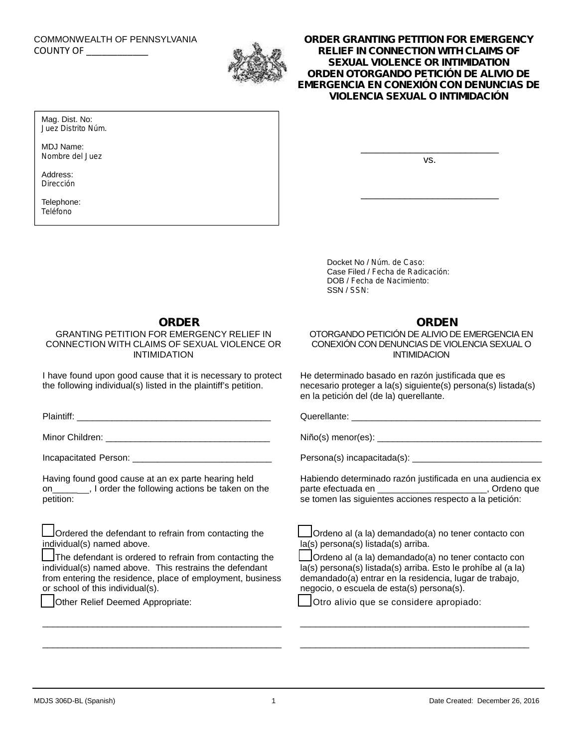# COMMONWEALTH OF PENNSYLVANIA



# COUNTY OF \_\_\_\_\_\_\_\_\_\_\_\_ **ORDER GRANTING PETITION FOR EMERGENCY RELIEF IN CONNECTION WITH CLAIMS OF SEXUAL VIOLENCE OR INTIMIDATION** *ORDEN OTORGANDO PETICIÓN DE ALIVIO DE EMERGENCIA EN CONEXIÓN CON DENUNCIAS DE VIOLENCIA SEXUAL O INTIMIDACIÓN*

Mag. Dist. No: *Juez Distrito Núm.*

MDJ Name: *Nombre del Juez*

Address: *Dirección*

Telephone: *Teléfono*

vs.

\_\_\_\_\_\_\_\_\_\_\_\_\_\_\_\_\_\_\_\_\_\_\_\_\_

\_\_\_\_\_\_\_\_\_\_\_\_\_\_\_\_\_\_\_\_\_\_\_\_\_

Docket No / *Núm. de Caso*: Case Filed / *Fecha de Radicación*: DOB / *Fecha de Nacimiento*: SSN / *SSN*:

## **ORDER**

GRANTING PETITION FOR EMERGENCY RELIEF IN CONNECTION WITH CLAIMS OF SEXUAL VIOLENCE OR INTIMIDATION

I have found upon good cause that it is necessary to protect the following individual(s) listed in the plaintiff's petition.

Plaintiff: \_\_\_\_\_\_\_\_\_\_\_\_\_\_\_\_\_\_\_\_\_\_\_\_\_\_\_\_\_\_\_\_\_\_\_\_\_\_\_

Minor Children: \_\_\_\_\_\_\_\_\_\_\_\_\_\_\_\_\_\_\_\_\_\_\_\_\_\_\_\_\_\_\_\_\_

Incapacitated Person:

Having found good cause at an ex parte hearing held on\_\_\_\_\_ , I order the following actions be taken on the petition:

Ordered the defendant to refrain from contacting the individual(s) named above.

The defendant is ordered to refrain from contacting the individual(s) named above. This restrains the defendant from entering the residence, place of employment, business or school of this individual(s).

\_\_\_\_\_\_\_\_\_\_\_\_\_\_\_\_\_\_\_\_\_\_\_\_\_\_\_\_\_\_\_\_\_\_\_\_\_\_\_\_\_\_\_\_\_\_\_\_

\_\_\_\_\_\_\_\_\_\_\_\_\_\_\_\_\_\_\_\_\_\_\_\_\_\_\_\_\_\_\_\_\_\_\_\_\_\_\_\_\_\_\_\_\_\_\_\_

Other Relief Deemed Appropriate:

## **ORDEN**

OTORGANDO PETICIÓN DE ALIVIO DE EMERGENCIA EN CONEXIÓN CON DENUNCIAS DE VIOLENCIA SEXUAL O INTIMIDACION

He determinado basado en razón justificada que es necesario proteger a la(s) siguiente(s) persona(s) listada(s) en la petición del (de la) querellante.

Querellante: \_\_\_\_\_\_\_\_\_\_\_\_\_\_\_\_\_\_\_\_\_\_\_\_\_\_\_\_\_\_\_\_\_\_\_\_\_\_

Niño(s) menor(es): \_\_\_\_\_\_\_\_\_\_\_\_\_\_\_\_\_\_\_\_\_\_\_\_\_\_\_\_\_\_\_\_\_

Persona(s) incapacitada(s): \_\_\_\_\_\_\_

Habiendo determinado razón justificada en una audiencia ex parte efectuada en \_\_\_\_\_\_\_\_\_\_\_\_\_\_\_\_\_\_\_\_\_\_\_\_, Ordeno que se tomen las siguientes acciones respecto a la petición:

|                                     | Ordeno al (a la) demandado(a) no tener contacto con |
|-------------------------------------|-----------------------------------------------------|
| la(s) persona(s) listada(s) arriba. |                                                     |

Ordeno al (a la) demandado(a) no tener contacto con la(s) persona(s) listada(s) arriba. Esto le prohíbe al (a la) demandado(a) entrar en la residencia, lugar de trabajo, negocio, o escuela de esta(s) persona(s).

\_\_\_\_\_\_\_\_\_\_\_\_\_\_\_\_\_\_\_\_\_\_\_\_\_\_\_\_\_\_\_\_\_\_\_\_\_\_\_\_\_\_\_\_\_\_

\_\_\_\_\_\_\_\_\_\_\_\_\_\_\_\_\_\_\_\_\_\_\_\_\_\_\_\_\_\_\_\_\_\_\_\_\_\_\_\_\_\_\_\_\_\_

Otro alivio que se considere apropiado: